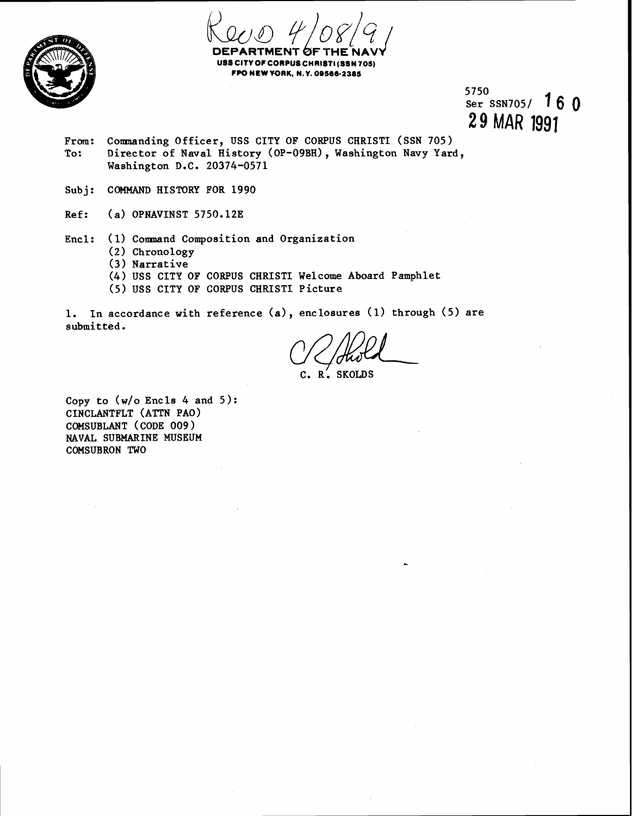

CORPUS CHRISTI(SSN 705) **CPO NEW WRK. N.Y. 09599-238s** 

5750 Ser SSN705/ 160 **29** MAR 1991

- From: Commanding Officer, USS CITY OF CORPUS CHRISTI (SSN 705) To: Director of Naval History (OP-09BH), Washington Navy Yard, Washington D.C. 20374-0571
- Subj: COMMAND HISTORY FOR 1990
- Ref: (a) OPNAVINST 5750.12E
- Encl: (1) Command Composition and Organization
	- (2) Chronology
	- **(3)** Narrative
	- (4) USS CITY OF CORPUS CHRIST1 Welcome Aboard Pamphlet
	- (5) USS CITY OF CORPUS CHRIST1 Picture

1. In accordance with reference (a), enclosures (1) through (5) are submitted.

C. R: SKOLDS

Copy to (w/o Encls 4 and **5):**  CINCLANTFLT (ATTN PAO) COMSUBLANT (CODE 009 ) NAVAL SUBMARINE MUSEUM COMSUBRON TWO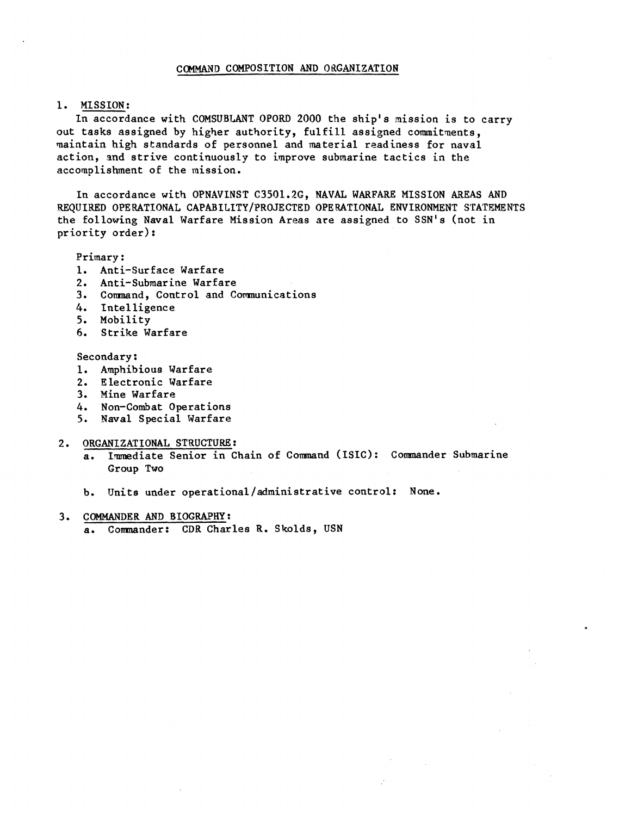## COMMAND COMPOSITION AND ORGANIZATION

# 1. MISSION:

In accordance with COMSUBLANT OPORD 2000 the ship's mission is to carry out tasks assigned by higher authority, fulfill assigned commitments, naintain high standards of personnel and material readiness for naval action, and strive continuously to improve submarine tactics in the accomplishment of the mission.

In accordance with OPNAVINST C3501.26, NAVAL WARFARE MISSION AREAS AND REQUIRED OPERATIONAL CAPABILITY/PROJECTED OPERATIONAL ENVIRONMENT STATEMENTS the following Naval Warfare Mission Areas are assigned to SSN's (not in priority order):

## Primary :

- 1. Anti-Surface Warfare
- 2. Anti-Submarine Warfare
- 3. Comnand, Control and Comnunications
- 4. Intelligence
- 5. Mobility
- **6.** Strike Warfare

### Secondary:

- 1. Amphibious Warfare
- 2. Electronic Warfare
- 3. Mine Warfare
- 4. Non-Combat Operations
- 5. Naval Special Warfare
- 2. ORGANIZATIONAL STRUCTURE:
	- a. Immediate Senior in Chain of Command (ISIC): Commander Submarine Group Two

b. Units under **operational/administrative** control: None.

- **3.** COMMANDER AND BIOGRAPHY :
	- a. Comnander: CDR Charles R. Skolds, USN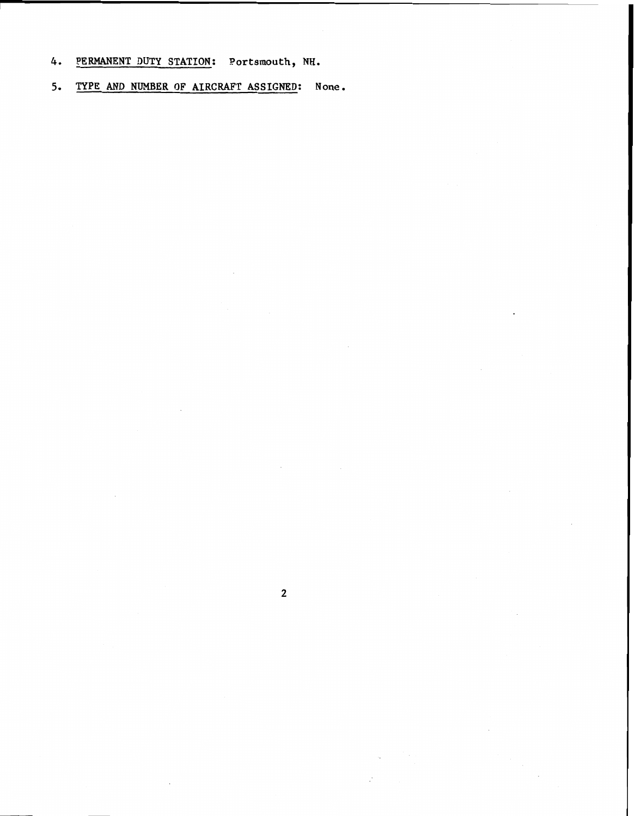**4. PERMANENT DUTY STATION: Portsmouth, NH.** 

**5. TYPE AND NUMBER OF AIRCRAFT ASSIGNED: None.** 

 $\overline{2}$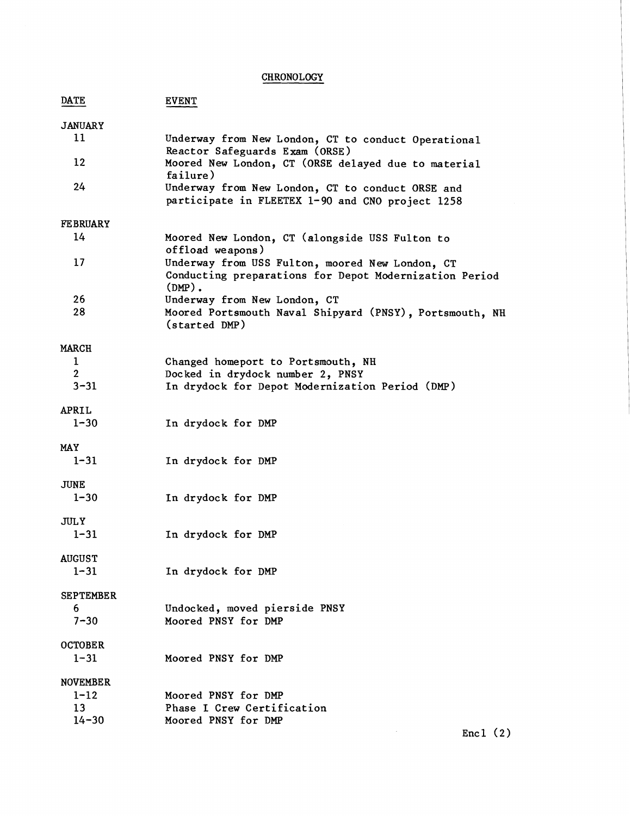| <b>CHRONOLOGY</b>                              |                                                                                                                           |  |
|------------------------------------------------|---------------------------------------------------------------------------------------------------------------------------|--|
| <b>DATE</b>                                    | <b>EVENT</b>                                                                                                              |  |
| <b>JANUARY</b><br>11                           | Underway from New London, CT to conduct Operational                                                                       |  |
| 12                                             | Reactor Safeguards Exam (ORSE)<br>Moored New London, CT (ORSE delayed due to material                                     |  |
| 24                                             | failure)<br>Underway from New London, CT to conduct ORSE and<br>participate in FLEETEX 1-90 and CNO project 1258          |  |
| <b>FE BRUARY</b>                               |                                                                                                                           |  |
| 14                                             | Moored New London, CT (alongside USS Fulton to<br>offload weapons)                                                        |  |
| 17                                             | Underway from USS Fulton, moored New London, CT<br>Conducting preparations for Depot Modernization Period<br>$(DMP)$ .    |  |
| 26<br>28                                       | Underway from New London, CT<br>Moored Portsmouth Naval Shipyard (PNSY), Portsmouth, NH<br>(started DMP)                  |  |
| <b>MARCH</b>                                   |                                                                                                                           |  |
| $\mathbf 1$<br>2<br>$3 - 31$                   | Changed homeport to Portsmouth, NH<br>Docked in drydock number 2, PNSY<br>In drydock for Depot Modernization Period (DMP) |  |
|                                                |                                                                                                                           |  |
| APRIL<br>$1 - 30$                              | In drydock for DMP                                                                                                        |  |
| <b>MAY</b><br>$1 - 31$                         | In drydock for DMP                                                                                                        |  |
| <b>JUNE</b><br>$1 - 30$                        | In drydock for DMP                                                                                                        |  |
| JULY<br>$1 - 31$                               | In drydock for DMP                                                                                                        |  |
| <b>AUGUST</b><br>$1 - 31$                      | In drydock for DMP                                                                                                        |  |
| <b>SEPTEMBER</b><br>6.<br>$7 - 30$             | Undocked, moved pierside PNSY<br>Moored PNSY for DMP                                                                      |  |
| <b>OCTOBER</b><br>$1 - 31$                     | Moored PNSY for DMP                                                                                                       |  |
| <b>NOVEMBER</b><br>$1 - 12$<br>13<br>$14 - 30$ | Moored PNSY for DMP<br>Phase I Crew Certification<br>Moored PNSY for DMP                                                  |  |
|                                                | Encl $(2)$                                                                                                                |  |

Encl  $(2)$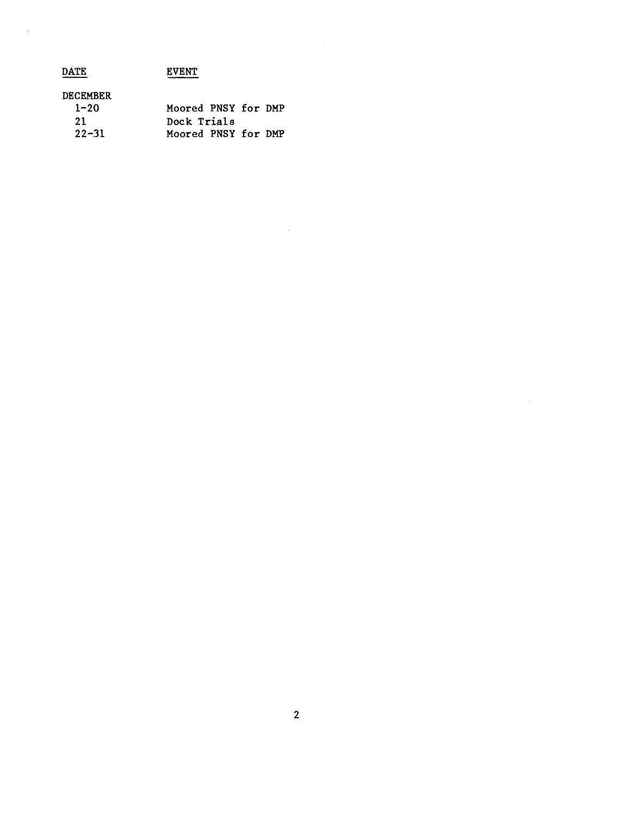| <b>DATE</b>     | <b>EVENT</b>        |
|-----------------|---------------------|
| <b>DECEMBER</b> |                     |
| $1 - 20$        | Moored PNSY for DMP |
| 21              | Dock Trials         |
| $22 - 31$       | Moored PNSY for DMP |

 $\hat{\mathcal{A}}$ 

 $\label{eq:2} \frac{1}{\sqrt{2}}\left(\frac{1}{\sqrt{2}}\right)^{2} \left(\frac{1}{\sqrt{2}}\right)^{2} \left(\frac{1}{\sqrt{2}}\right)^{2} \left(\frac{1}{\sqrt{2}}\right)^{2} \left(\frac{1}{\sqrt{2}}\right)^{2} \left(\frac{1}{\sqrt{2}}\right)^{2} \left(\frac{1}{\sqrt{2}}\right)^{2} \left(\frac{1}{\sqrt{2}}\right)^{2} \left(\frac{1}{\sqrt{2}}\right)^{2} \left(\frac{1}{\sqrt{2}}\right)^{2} \left(\frac{1}{\sqrt{2}}\right)^{2} \left(\frac{$ 

 $\mathcal{L}^{\text{max}}_{\text{max}}$  and  $\mathcal{L}^{\text{max}}_{\text{max}}$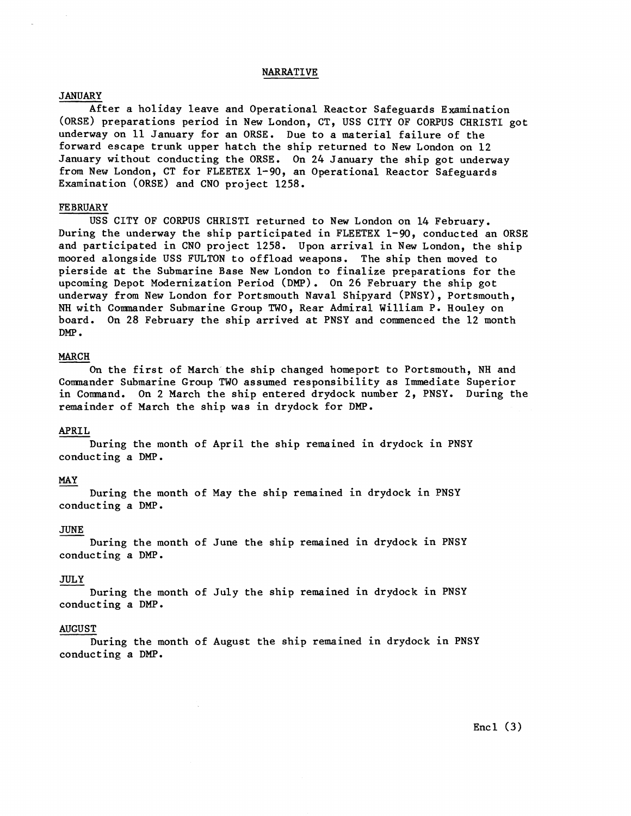### NARRATIVE

### **JANUARY**

After a holiday leave and Operational Reactor Safeguards Examination (ORSE) preparations period in New London, CT, USS CITY OF CORPUS CHRIST1 got underway on 11 January for an ORSE. Due to a material failure of the forward escape trunk upper hatch the ship returned to New London on 12 January without conducting the ORSE. On 24 January the ship got underway from New London, CT for FLEETEX 1-90, an Operational Reactor Safeguards Examination (ORSE) and CNO project 1258.

# FEBRUARY

USS CITY OF CORPUS CHRIST1 returned to New London on 14 February. During the underway the ship participated in FLEETEX 1-90, conducted an ORSE and participated in CNO project 1258. Upon arrival in New London, the ship moored alongside USS FULTON to offload weapons. The ship then moved to pierside at the Submarine Base New London to finalize preparations for the upcoming Depot Modernization Period **(DMP).** On 26 February the ship got underway from New London for Portsmouth Naval Shipyard (PNSY), Portsmouth, **NH** with Comnander Submarine Group TWO, Rear Admiral William P. Houley on board. On 28 February the ship arrived at PNSY and commenced the 12 month DMP .

## MARCH

On the first of March the ship changed homeport to Portsmouth, NH and Comnander Submarine Group TWO assumed responsibility as Immediate Superior in Comnand. On 2 March the ship entered drydock number 2, PNSY. During the remainder of March the ship was in drydock for DMP.

# APRIL

During the month of April the ship remained in drydock in PNSY During the mon<br>conducting a DMP. MEALL<br>Du<br>Conduct<br><u>MAY</u><br>Du

During the month of May the ship remained in drydock in PNSY conducting a DMP.

### JUNE

During the month of June the ship remained in drydock in PNSY conducting a DMP.

### JULY

During the month of July the ship remained in drydock in PNSY conducting a DMP.

# AUGUST

During the month of August the ship remained in drydock in PNSY conducting a DMP.